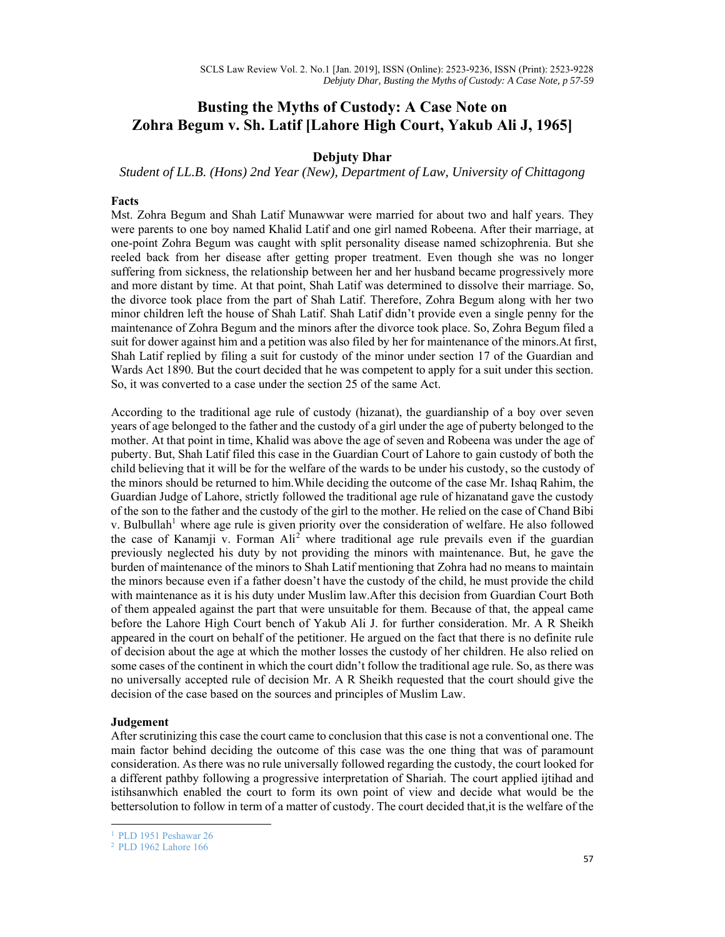# **Busting the Myths of Custody: A Case Note on Zohra Begum v. Sh. Latif [Lahore High Court, Yakub Ali J, 1965]**

# **Debjuty Dhar**

*Student of LL.B. (Hons) 2nd Year (New), Department of Law, University of Chittagong* 

# **Facts**

Mst. Zohra Begum and Shah Latif Munawwar were married for about two and half years. They were parents to one boy named Khalid Latif and one girl named Robeena. After their marriage, at one-point Zohra Begum was caught with split personality disease named schizophrenia. But she reeled back from her disease after getting proper treatment. Even though she was no longer suffering from sickness, the relationship between her and her husband became progressively more and more distant by time. At that point, Shah Latif was determined to dissolve their marriage. So, the divorce took place from the part of Shah Latif. Therefore, Zohra Begum along with her two minor children left the house of Shah Latif. Shah Latif didn't provide even a single penny for the maintenance of Zohra Begum and the minors after the divorce took place. So, Zohra Begum filed a suit for dower against him and a petition was also filed by her for maintenance of the minors.At first, Shah Latif replied by filing a suit for custody of the minor under section 17 of the Guardian and Wards Act 1890. But the court decided that he was competent to apply for a suit under this section. So, it was converted to a case under the section 25 of the same Act.

According to the traditional age rule of custody (hizanat), the guardianship of a boy over seven years of age belonged to the father and the custody of a girl under the age of puberty belonged to the mother. At that point in time, Khalid was above the age of seven and Robeena was under the age of puberty. But, Shah Latif filed this case in the Guardian Court of Lahore to gain custody of both the child believing that it will be for the welfare of the wards to be under his custody, so the custody of the minors should be returned to him.While deciding the outcome of the case Mr. Ishaq Rahim, the Guardian Judge of Lahore, strictly followed the traditional age rule of hizanatand gave the custody of the son to the father and the custody of the girl to the mother. He relied on the case of Chand Bibi v. Bulbullah<sup>1</sup> where age rule is given priority over the consideration of welfare. He also followed the case of Kanamji v. Forman  $\text{Ali}^2$  where traditional age rule prevails even if the guardian previously neglected his duty by not providing the minors with maintenance. But, he gave the burden of maintenance of the minors to Shah Latif mentioning that Zohra had no means to maintain the minors because even if a father doesn't have the custody of the child, he must provide the child with maintenance as it is his duty under Muslim law.After this decision from Guardian Court Both of them appealed against the part that were unsuitable for them. Because of that, the appeal came before the Lahore High Court bench of Yakub Ali J. for further consideration. Mr. A R Sheikh appeared in the court on behalf of the petitioner. He argued on the fact that there is no definite rule of decision about the age at which the mother losses the custody of her children. He also relied on some cases of the continent in which the court didn't follow the traditional age rule. So, as there was no universally accepted rule of decision Mr. A R Sheikh requested that the court should give the decision of the case based on the sources and principles of Muslim Law.

#### **Judgement**

After scrutinizing this case the court came to conclusion that this case is not a conventional one. The main factor behind deciding the outcome of this case was the one thing that was of paramount consideration. As there was no rule universally followed regarding the custody, the court looked for a different pathby following a progressive interpretation of Shariah. The court applied ijtihad and istihsanwhich enabled the court to form its own point of view and decide what would be the bettersolution to follow in term of a matter of custody. The court decided that,it is the welfare of the

<sup>1</sup> PLD 1951 Peshawar 26

<sup>2</sup> PLD 1962 Lahore 166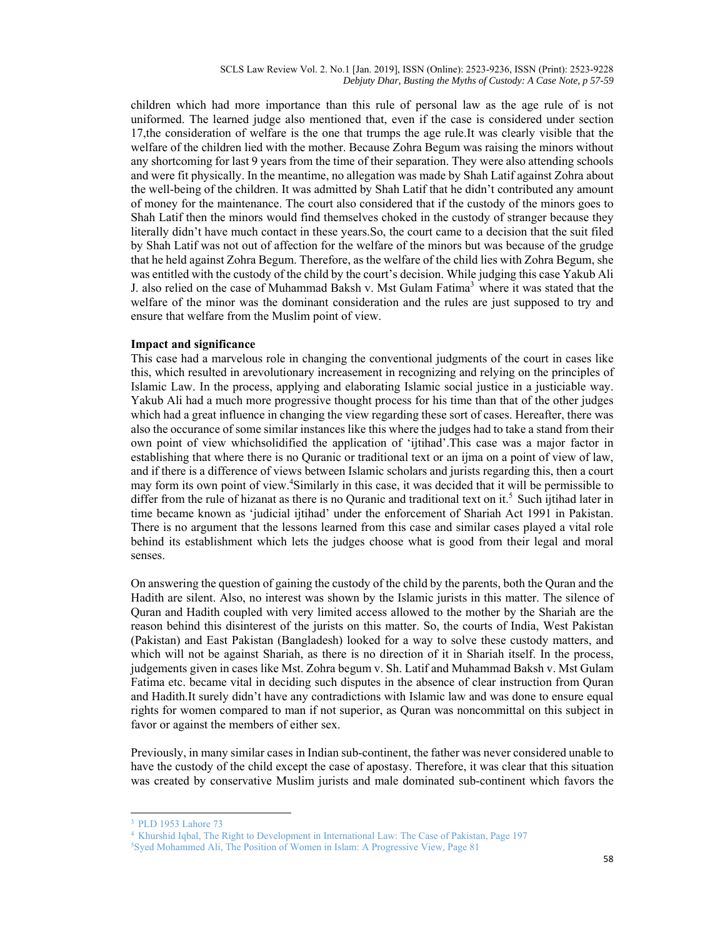SCLS Law Review Vol. 2. No.1 [Jan. 2019], ISSN (Online): 2523-9236, ISSN (Print): 2523-9228 *Debjuty Dhar, Busting the Myths of Custody: A Case Note, p 57-59* 

children which had more importance than this rule of personal law as the age rule of is not uniformed. The learned judge also mentioned that, even if the case is considered under section 17,the consideration of welfare is the one that trumps the age rule.It was clearly visible that the welfare of the children lied with the mother. Because Zohra Begum was raising the minors without any shortcoming for last 9 years from the time of their separation. They were also attending schools and were fit physically. In the meantime, no allegation was made by Shah Latif against Zohra about the well-being of the children. It was admitted by Shah Latif that he didn't contributed any amount of money for the maintenance. The court also considered that if the custody of the minors goes to Shah Latif then the minors would find themselves choked in the custody of stranger because they literally didn't have much contact in these years.So, the court came to a decision that the suit filed by Shah Latif was not out of affection for the welfare of the minors but was because of the grudge that he held against Zohra Begum. Therefore, as the welfare of the child lies with Zohra Begum, she was entitled with the custody of the child by the court's decision. While judging this case Yakub Ali J. also relied on the case of Muhammad Baksh v. Mst Gulam Fatima<sup>3</sup> where it was stated that the welfare of the minor was the dominant consideration and the rules are just supposed to try and ensure that welfare from the Muslim point of view.

### **Impact and significance**

This case had a marvelous role in changing the conventional judgments of the court in cases like this, which resulted in arevolutionary increasement in recognizing and relying on the principles of Islamic Law. In the process, applying and elaborating Islamic social justice in a justiciable way. Yakub Ali had a much more progressive thought process for his time than that of the other judges which had a great influence in changing the view regarding these sort of cases. Hereafter, there was also the occurance of some similar instances like this where the judges had to take a stand from their own point of view whichsolidified the application of 'ijtihad'.This case was a major factor in establishing that where there is no Quranic or traditional text or an ijma on a point of view of law, and if there is a difference of views between Islamic scholars and jurists regarding this, then a court may form its own point of view.<sup>4</sup>Similarly in this case, it was decided that it will be permissible to differ from the rule of hizanat as there is no Quranic and traditional text on it.<sup>5</sup> Such ijtihad later in time became known as 'judicial ijtihad' under the enforcement of Shariah Act 1991 in Pakistan. There is no argument that the lessons learned from this case and similar cases played a vital role behind its establishment which lets the judges choose what is good from their legal and moral senses.

On answering the question of gaining the custody of the child by the parents, both the Quran and the Hadith are silent. Also, no interest was shown by the Islamic jurists in this matter. The silence of Quran and Hadith coupled with very limited access allowed to the mother by the Shariah are the reason behind this disinterest of the jurists on this matter. So, the courts of India, West Pakistan (Pakistan) and East Pakistan (Bangladesh) looked for a way to solve these custody matters, and which will not be against Shariah, as there is no direction of it in Shariah itself. In the process, judgements given in cases like Mst. Zohra begum v. Sh. Latif and Muhammad Baksh v. Mst Gulam Fatima etc. became vital in deciding such disputes in the absence of clear instruction from Quran and Hadith.It surely didn't have any contradictions with Islamic law and was done to ensure equal rights for women compared to man if not superior, as Quran was noncommittal on this subject in favor or against the members of either sex.

Previously, in many similar cases in Indian sub-continent, the father was never considered unable to have the custody of the child except the case of apostasy. Therefore, it was clear that this situation was created by conservative Muslim jurists and male dominated sub-continent which favors the

<sup>3</sup> PLD 1953 Lahore 73

<sup>&</sup>lt;sup>4</sup> Khurshid Iqbal, The Right to Development in International Law: The Case of Pakistan, Page 197<br><sup>5</sup>Syed Mohammed Ali, The Position of Women in Islam: A Progressive View, Page 81

Syed Mohammed Ali, The Position of Women in Islam: A Progressive View, Page 81